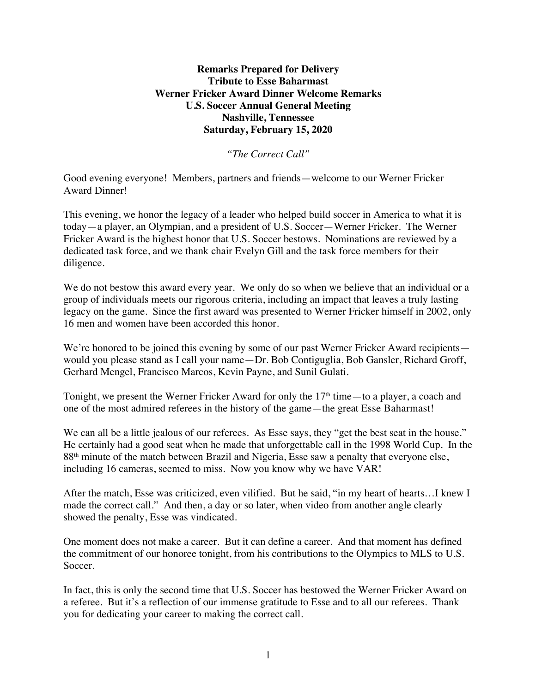## **Remarks Prepared for Delivery Tribute to Esse Baharmast Werner Fricker Award Dinner Welcome Remarks U.S. Soccer Annual General Meeting Nashville, Tennessee Saturday, February 15, 2020**

*"The Correct Call"*

Good evening everyone! Members, partners and friends—welcome to our Werner Fricker Award Dinner!

This evening, we honor the legacy of a leader who helped build soccer in America to what it is today—a player, an Olympian, and a president of U.S. Soccer—Werner Fricker. The Werner Fricker Award is the highest honor that U.S. Soccer bestows. Nominations are reviewed by a dedicated task force, and we thank chair Evelyn Gill and the task force members for their diligence.

We do not bestow this award every year. We only do so when we believe that an individual or a group of individuals meets our rigorous criteria, including an impact that leaves a truly lasting legacy on the game. Since the first award was presented to Werner Fricker himself in 2002, only 16 men and women have been accorded this honor.

We're honored to be joined this evening by some of our past Werner Fricker Award recipients would you please stand as I call your name—Dr. Bob Contiguglia, Bob Gansler, Richard Groff, Gerhard Mengel, Francisco Marcos, Kevin Payne, and Sunil Gulati.

Tonight, we present the Werner Fricker Award for only the 17<sup>th</sup> time—to a player, a coach and one of the most admired referees in the history of the game—the great Esse Baharmast!

We can all be a little jealous of our referees. As Esse says, they "get the best seat in the house." He certainly had a good seat when he made that unforgettable call in the 1998 World Cup. In the 88<sup>th</sup> minute of the match between Brazil and Nigeria, Esse saw a penalty that everyone else, including 16 cameras, seemed to miss. Now you know why we have VAR!

After the match, Esse was criticized, even vilified. But he said, "in my heart of hearts…I knew I made the correct call." And then, a day or so later, when video from another angle clearly showed the penalty, Esse was vindicated.

One moment does not make a career. But it can define a career. And that moment has defined the commitment of our honoree tonight, from his contributions to the Olympics to MLS to U.S. Soccer.

In fact, this is only the second time that U.S. Soccer has bestowed the Werner Fricker Award on a referee. But it's a reflection of our immense gratitude to Esse and to all our referees. Thank you for dedicating your career to making the correct call.